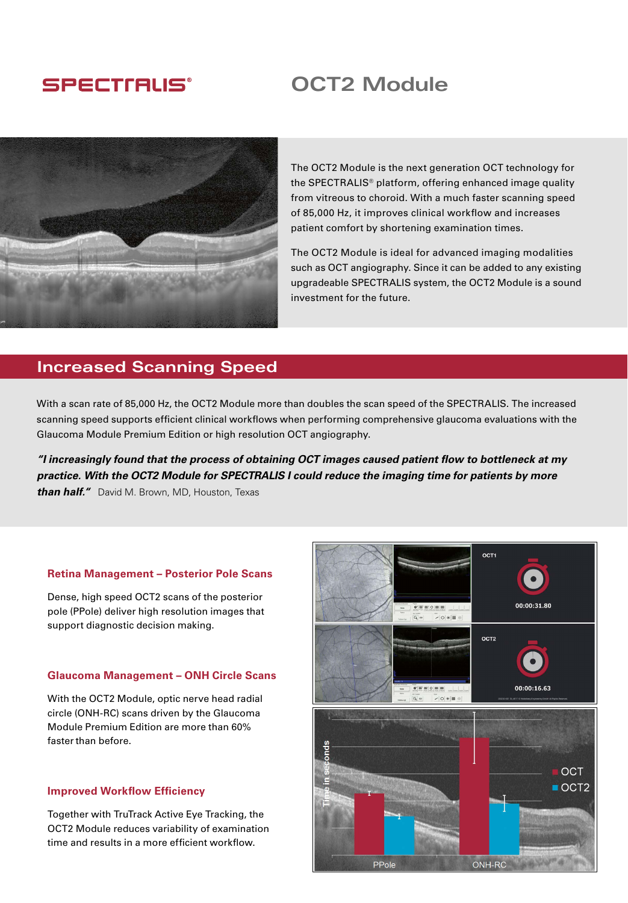## **SPECTIALIS®**

# **OCT2 Module**



The OCT2 Module is the next generation OCT technology for the SPECTRALIS® platform, offering enhanced image quality from vitreous to choroid. With a much faster scanning speed of 85,000 Hz, it improves clinical workflow and increases patient comfort by shortening examination times.

The OCT2 Module is ideal for advanced imaging modalities such as OCT angiography. Since it can be added to any existing upgradeable SPECTRALIS system, the OCT2 Module is a sound investment for the future.

## **Increased Scanning Speed**

With a scan rate of 85,000 Hz, the OCT2 Module more than doubles the scan speed of the SPECTRALIS. The increased scanning speed supports efficient clinical workflows when performing comprehensive glaucoma evaluations with the Glaucoma Module Premium Edition or high resolution OCT angiography.

*"I increasingly found that the process of obtaining OCT images caused patient flow to bottleneck at my practice. With the OCT2 Module for SPECTRALIS I could reduce the imaging time for patients by more than half."*David M. Brown, MD, Houston, Texas

#### **Retina Management – Posterior Pole Scans**

Dense, high speed OCT2 scans of the posterior pole (PPole) deliver high resolution images that support diagnostic decision making.

#### **Glaucoma Management – ONH Circle Scans**

With the OCT2 Module, optic nerve head radial circle (ONH-RC) scans driven by the Glaucoma Module Premium Edition are more than 60% faster than before

#### **Improved Workflow Efficiency**

Together with TruTrack Active Eye Tracking, the OCT2 Module reduces variability of examination time and results in a more efficient workflow.